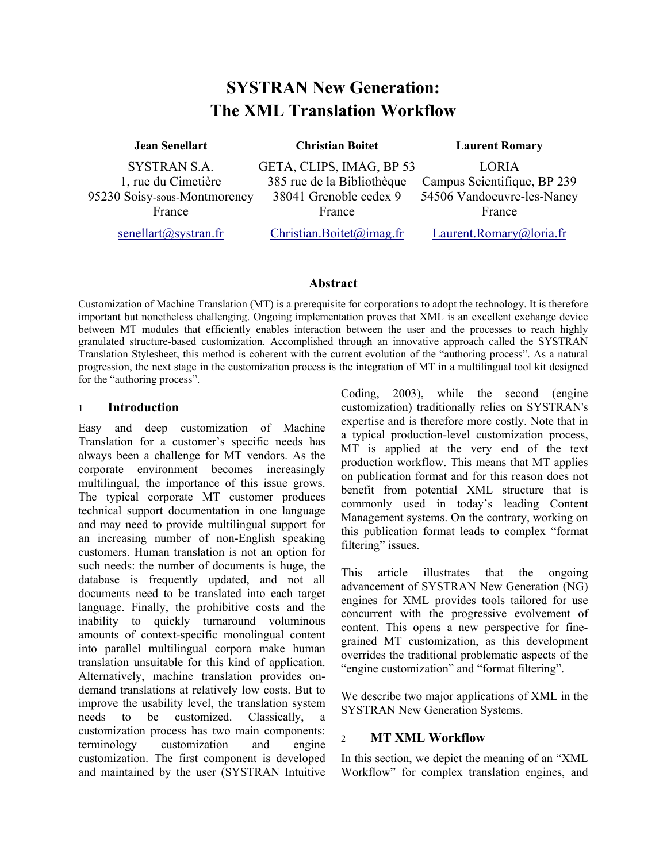# **SYSTRAN New Generation: The XML Translation Workflow**

#### **Jean Senellart Christian Boitet Laurent Romary**

SYSTRAN S.A. 1, rue du Cimetière 95230 Soisy-sous-Montmorency France

GETA, CLIPS, IMAG, BP 53 385 rue de la Bibliothèque 38041 Grenoble cedex 9 France

LORIA Campus Scientifique, BP 239 54506 Vandoeuvre-les-Nancy

[senellart@systran.fr](mailto:senellart@systran.fr)

[Christian.Boitet@imag.fr](mailto:Christian.Boitet@imag.fr)

[Laurent.Romary@loria.fr](mailto:Laurent.Romary@loria.fr)

France

#### **Abstract**

Customization of Machine Translation (MT) is a prerequisite for corporations to adopt the technology. It is therefore important but nonetheless challenging. Ongoing implementation proves that XML is an excellent exchange device between MT modules that efficiently enables interaction between the user and the processes to reach highly granulated structure-based customization. Accomplished through an innovative approach called the SYSTRAN Translation Stylesheet, this method is coherent with the current evolution of the "authoring process". As a natural progression, the next stage in the customization process is the integration of MT in a multilingual tool kit designed for the "authoring process".

### 1 **Introduction**

Easy and deep customization of Machine Translation for a customer's specific needs has always been a challenge for MT vendors. As the corporate environment becomes increasingly multilingual, the importance of this issue grows. The typical corporate MT customer produces technical support documentation in one language and may need to provide multilingual support for an increasing number of non-English speaking customers. Human translation is not an option for such needs: the number of documents is huge, the database is frequently updated, and not all documents need to be translated into each target language. Finally, the prohibitive costs and the inability to quickly turnaround voluminous amounts of context-specific monolingual content into parallel multilingual corpora make human translation unsuitable for this kind of application. Alternatively, machine translation provides ondemand translations at relatively low costs. But to improve the usability level, the translation system needs to be customized. Classically, a customization process has two main components: terminology customization and engine customization. The first component is developed and maintained by the user (SYSTRAN Intuitive Coding, 2003), while the second (engine customization) traditionally relies on SYSTRAN's expertise and is therefore more costly. Note that in a typical production-level customization process, MT is applied at the very end of the text production workflow. This means that MT applies on publication format and for this reason does not benefit from potential XML structure that is commonly used in today's leading Content Management systems. On the contrary, working on this publication format leads to complex "format filtering" issues.

This article illustrates that the ongoing advancement of SYSTRAN New Generation (NG) engines for XML provides tools tailored for use concurrent with the progressive evolvement of content. This opens a new perspective for finegrained MT customization, as this development overrides the traditional problematic aspects of the "engine customization" and "format filtering".

We describe two major applications of XML in the SYSTRAN New Generation Systems.

#### $\mathfrak{D}$ **MT XML Workflow**

In this section, we depict the meaning of an "XML Workflow" for complex translation engines, and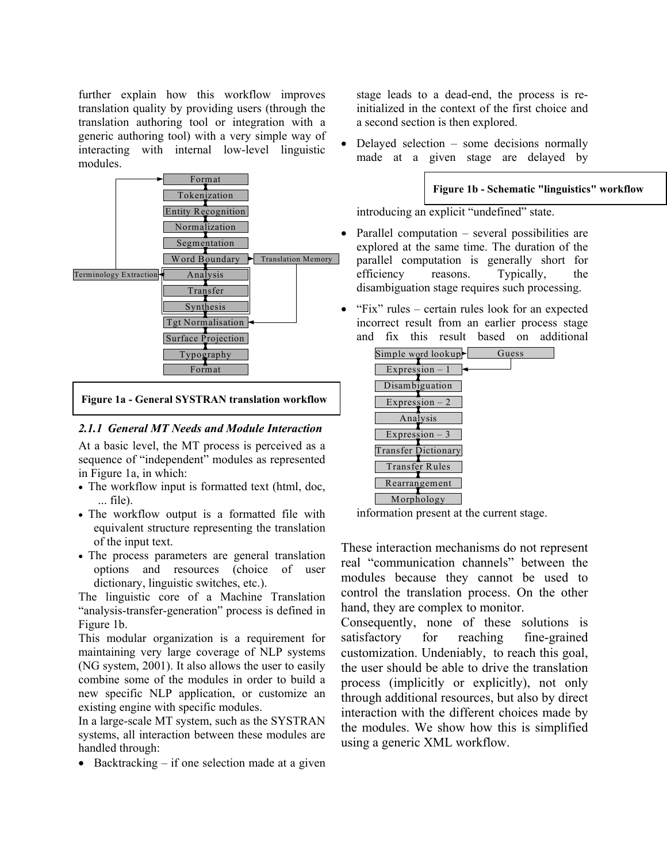further explain how this workflow improves translation quality by providing users (through the translation authoring tool or integration with a generic authoring tool) with a very simple way of interacting with internal low-level linguistic modules.



**Figure 1a - General SYSTRAN translation workflow**

#### *2.1.1 General MT Needs and Module Interaction*

At a basic level, the MT process is perceived as a sequence of "independent" modules as represented in Figure 1a, in which:

- The workflow input is formatted text (html, doc, ... file).
- The workflow output is a formatted file with equivalent structure representing the translation of the input text.
- The process parameters are general translation options and resources (choice of user dictionary, linguistic switches, etc.).

The linguistic core of a Machine Translation "analysis-transfer-generation" process is defined in Figure 1b.

This modular organization is a requirement for maintaining very large coverage of NLP systems (NG system, 2001). It also allows the user to easily combine some of the modules in order to build a new specific NLP application, or customize an existing engine with specific modules.

In a large-scale MT system, such as the SYSTRAN systems, all interaction between these modules are handled through:

• Backtracking  $-$  if one selection made at a given

stage leads to a dead-end, the process is reinitialized in the context of the first choice and a second section is then explored.

• Delayed selection – some decisions normally made at a given stage are delayed by

#### **Figure 1b - Schematic "linguistics" workflow**

introducing an explicit "undefined" state.

- Parallel computation several possibilities are explored at the same time. The duration of the parallel computation is generally short for efficiency reasons. Typically, the disambiguation stage requires such processing.
- "Fix" rules certain rules look for an expected incorrect result from an earlier process stage and fix this result based on additional



information present at the current stage.

These interaction mechanisms do not represent real "communication channels" between the modules because they cannot be used to control the translation process. On the other hand, they are complex to monitor.

Consequently, none of these solutions is satisfactory for reaching fine-grained customization. Undeniably, to reach this goal, the user should be able to drive the translation process (implicitly or explicitly), not only through additional resources, but also by direct interaction with the different choices made by the modules. We show how this is simplified using a generic XML workflow.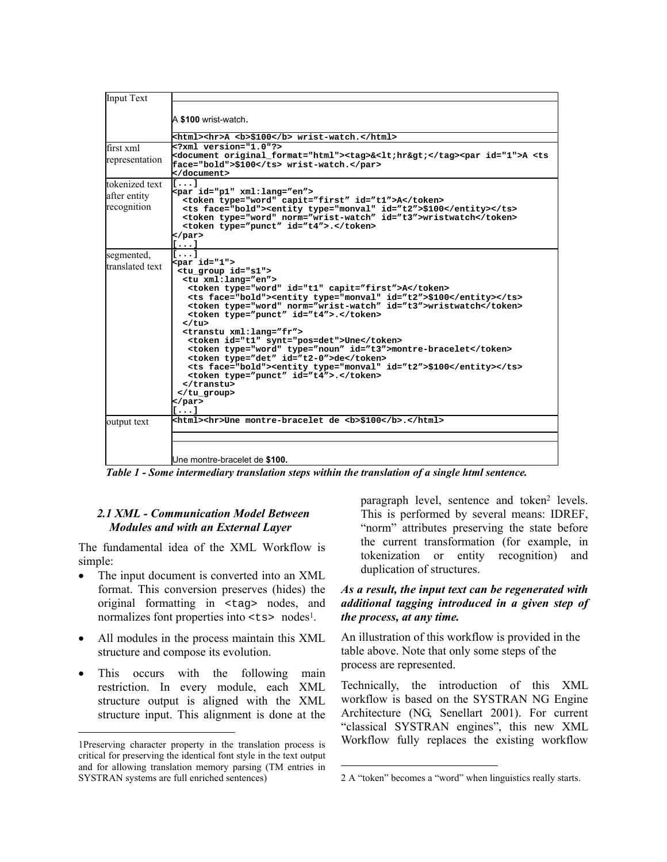| Input Text                                    |                                                                                                                                                                                                                                                                                                                                                                                                                                                                                                                                                                                                                                                                                       |
|-----------------------------------------------|---------------------------------------------------------------------------------------------------------------------------------------------------------------------------------------------------------------------------------------------------------------------------------------------------------------------------------------------------------------------------------------------------------------------------------------------------------------------------------------------------------------------------------------------------------------------------------------------------------------------------------------------------------------------------------------|
|                                               | A \$100 wrist-watch.                                                                                                                                                                                                                                                                                                                                                                                                                                                                                                                                                                                                                                                                  |
|                                               | <html><hr/>A <b>\$100</b> wrist-watch.</html>                                                                                                                                                                                                                                                                                                                                                                                                                                                                                                                                                                                                                                         |
| first xml<br>representation                   | xml version="1.0"?<br><document original_format="html"><tag>&amp;<lt;hr&gt;< tag=""><par id="1">A <ts<br>face="bold"&gt;\$100 wrist-watch.</ts<br></par><br/></lt;hr&gt;<></tag></document>                                                                                                                                                                                                                                                                                                                                                                                                                                                                                           |
| tokenized text<br>after entity<br>recognition | $\mathbf{I} \cdot \cdot \cdot \mathbf{I}$<br><par id="p1" xml:lang="en"><br/><token capit="first" id="t1" type="word">A</token><br/><ts face="bold"><entity id="t2" type="monval">\$100</entity></ts><br/><token id="t3" norm="wrist-watch" type="word">wristwatch</token><br/><token id="t4" type="punct">.</token><br/></par><br>[]                                                                                                                                                                                                                                                                                                                                                 |
| segmented,<br>translated text                 | r1<br>$<$ par id="1"><br><tu group="" id="s1"><br/><tu xml:lang="en"><br/><token capit="first" id="t1" type="word">A</token><br/><ts face="bold"><entity id="t2" type="monval">\$100</entity></ts><br/><token id="t3" norm="wrist-watch" type="word">wristwatch</token><br/><token id="t4" type="punct">.</token><br/></tu><br/><transtu xml:lang="fr"><br/><token id="t1" synt="pos=det">Une</token><br/><token id="t3" type="noun">montre-bracelet</token><br/><token id="t2-0" type="det">de</token><br/><ts face="bold"><entity id="t2" type="monval">\$100</entity></ts><br/><token id="t4" type="punct">.</token><br/></transtu><br/></tu><br>$\langle$ /par><br>$[\,\ldots\,]$ |
| output text                                   | <html><hr/>Une montre-bracelet de <b>\$100</b>.</html>                                                                                                                                                                                                                                                                                                                                                                                                                                                                                                                                                                                                                                |
|                                               |                                                                                                                                                                                                                                                                                                                                                                                                                                                                                                                                                                                                                                                                                       |
|                                               | Une montre-bracelet de \$100.                                                                                                                                                                                                                                                                                                                                                                                                                                                                                                                                                                                                                                                         |

*Table 1 - Some intermediary translation steps within the translation of a single html sentence.* 

 $\overline{\phantom{a}}$ 

#### *2.1 XML - Communication Model Between Modules and with an External Layer*

The fundamental idea of the XML Workflow is simple:

- The input document is converted into an XML format. This conversion preserves (hides) the original formatting in <tag> nodes, and normalizes font properties into  $\langle ts \rangle$  nodes<sup>1</sup>.
- All modules in the process maintain this XML structure and compose its evolution.
- This occurs with the following main restriction. In every module, each XML structure output is aligned with the XML structure input. This alignment is done at the

l

paragraph level, sentence and token<sup>2</sup> levels. This is performed by several means: IDREF, "norm" attributes preserving the state before the current transformation (for example, in tokenization or entity recognition) and duplication of structures.

#### *As a result, the input text can be regenerated with additional tagging introduced in a given step of the process, at any time.*

An illustration of this workflow is provided in the table above. Note that only some steps of the process are represented.

Technically, the introduction of this XML workflow is based on the SYSTRAN NG Engine Architecture (NG, Senellart 2001). For current "classical SYSTRAN engines", this new XML Workflow fully replaces the existing workflow

<span id="page-2-0"></span><sup>1</sup>Preserving character property in the translation process is critical for preserving the identical font style in the text output and for allowing translation memory parsing (TM entries in SYSTRAN systems are full enriched sentences)

<span id="page-2-1"></span><sup>2</sup> A "token" becomes a "word" when linguistics really starts.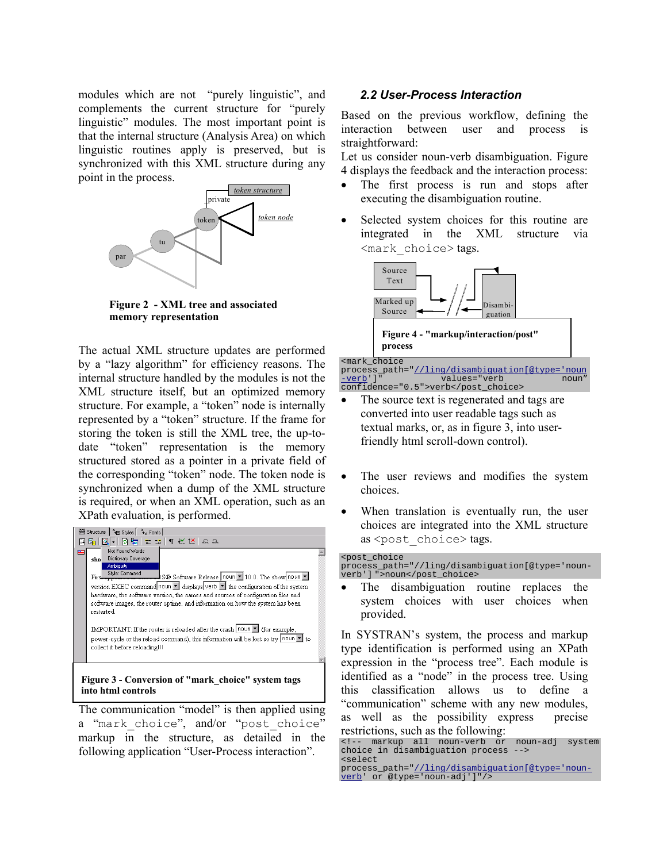modules which are not "purely linguistic", and complements the current structure for "purely linguistic" modules. The most important point is that the internal structure (Analysis Area) on which linguistic routines apply is preserved, but is synchronized with this XML structure during any point in the process.



**Figure 2 - XML tree and associated memory representation** 

The actual XML structure updates are performed by a "lazy algorithm" for efficiency reasons. The internal structure handled by the modules is not the XML structure itself, but an optimized memory structure. For example, a "token" node is internally represented by a "token" structure. If the frame for storing the token is still the XML tree, the up-todate "token" representation is the memory structured stored as a pointer in a private field of the corresponding "token" node. The token node is synchronized when a dump of the XML structure is required, or when an XML operation, such as an XPath evaluation, is performed.



The communication "model" is then applied using a "mark choice", and/or "post\_choice" markup in the structure, as detailed in the following application "User-Process interaction".

#### *2.2 User-Process Interaction*

Based on the previous workflow, defining the interaction between user and process is straightforward:

Let us consider noun-verb disambiguation. Figure 4 displays the feedback and the interaction process:

- The first process is run and stops after executing the disambiguation routine.
- Selected system choices for this routine are integrated in the XML structure via <mark\_choice> tags.



process\_path="//ling/disambiquation[@type='noun<br>-verb']" values="verb noun" values="verb confidence="0.5">verb</post\_choice>

- The source text is regenerated and tags are converted into user readable tags such as textual marks, or, as in figure 3, into userfriendly html scroll-down control).
- The user reviews and modifies the system choices.
- When translation is eventually run, the user choices are integrated into the XML structure as <post\_choice> tags.

<post\_choice process\_path="//ling/disambiguation[@type='nounverb'] ">noun</post\_choice>

The disambiguation routine replaces the system choices with user choices when provided.

In SYSTRAN's system, the process and markup type identification is performed using an XPath expression in the "process tree". Each module is identified as a "node" in the process tree. Using this classification allows us to define a "communication" scheme with any new modules, as well as the possibility express precise restrictions, such as the following:

<sup>&</sup>lt;!-- markup all noun-verb or noun-adj system choice in disambiguation process <select

process\_path="//ling/disambiguation[@type='nounverb' or @type='noun-adj']"/>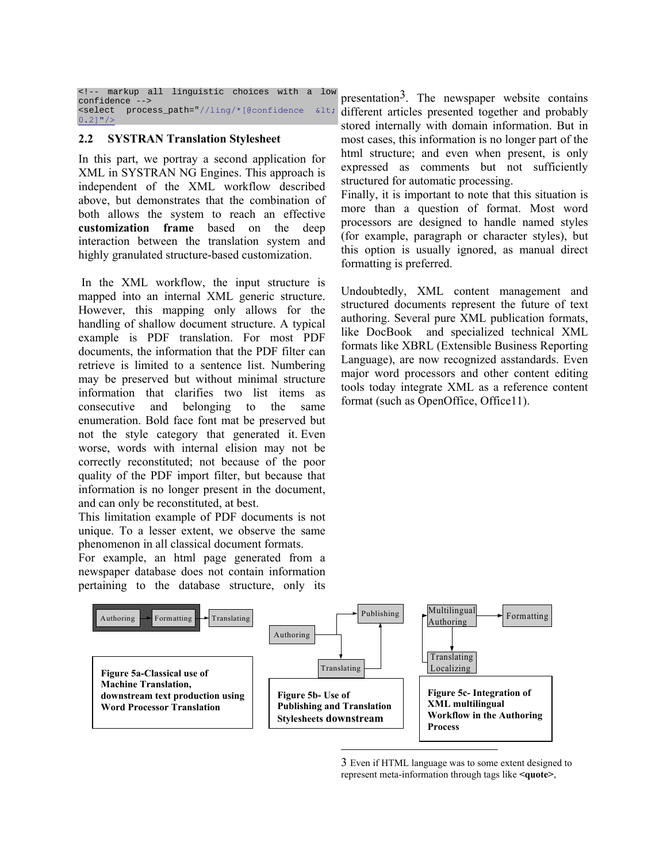```
<!-- markup all linguistic choices with a low
confidence -<select process_path="//ling/*[@confidence <
0.2]"/>
```
#### **2.2 SYSTRAN Translation Stylesheet**

In this part, we portray a second application for XML in SYSTRAN NG Engines. This approach is independent of the XML workflow described above, but demonstrates that the combination of both allows the system to reach an effective **customization frame** based on the deep interaction between the translation system and highly granulated structure-based customization.

In the XML workflow, the input structure is mapped into an internal XML generic structure. However, this mapping only allows for the handling of shallow document structure. A typical example is PDF translation. For most PDF documents, the information that the PDF filter can retrieve is limited to a sentence list. Numbering may be preserved but without minimal structure information that clarifies two list items as consecutive and belonging to the same enumeration. Bold face font mat be preserved but not the style category that generated it. Even worse, words with internal elision may not be correctly reconstituted; not because of the poor quality of the PDF import filter, but because that information is no longer present in the document, and can only be reconstituted, at best.

This limitation example of PDF documents is not unique. To a lesser extent, we observe the same phenomenon in all classical document formats.

For example, an html page generated from a newspaper database does not contain information pertaining to the database structure, only its

presentation<sup>3</sup>. The newspaper website contains different articles presented together and probably stored internally with domain information. But in most cases, this information is no longer part of the html structure; and even when present, is only expressed as comments but not sufficiently structured for automatic processing.

Finally, it is important to note that this situation is more than a question of format. Most word processors are designed to handle named styles (for example, paragraph or character styles), but this option is usually ignored, as manual direct formatting is preferred.

Undoubtedly, XML content management and structured documents represent the future of text authoring. Several pure XML publication formats, like DocBook and specialized technical XML formats like XBRL (Extensible Business Reporting Language), are now recognized asstandards. Even major word processors and other content editing tools today integrate XML as a reference content format (such as OpenOffice, Office11).



<span id="page-4-0"></span><sup>3</sup> Even if HTML language was to some extent designed to represent meta-information through tags like **<quote>**,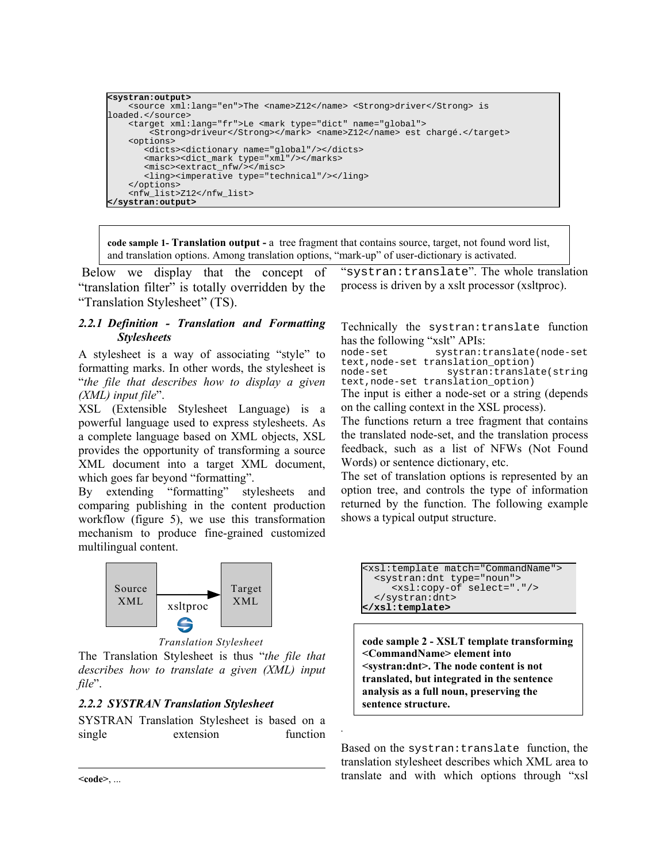```
<systran:output> 
     <source xml:lang="en">The <name>Z12</name> <Strong>driver</Strong> is 
loaded.</source> 
     <target xml:lang="fr">Le <mark type="dict" name="global"> 
        <Strong>driveur</Strong></mark> <name>Z12</name> est chargé.</target>
     <options> 
        <dicts><dictionary name="global"/></dicts> 
 <marks><dict_mark type="xml"/></marks> 
 <misc><extract_nfw/></misc> 
        <ling><imperative type="technical"/></ling> 
     </options> 
     <nfw_list>Z12</nfw_list> 
</systran:output>
```
**code sample 1- Translation output -** a tree fragment that contains source, target, not found word list, and translation options. Among translation options, "mark-up" of user-dictionary is activated.

*.* 

Below we display that the concept of "translation filter" is totally overridden by the "Translation Stylesheet" (TS).

#### *2.2.1 Definition - Translation and Formatting Stylesheets*

A stylesheet is a way of associating "style" to formatting marks. In other words, the stylesheet is "*the file that describes how to display a given (XML) input file*".

XSL (Extensible Stylesheet Language) is a powerful language used to express stylesheets. As a complete language based on XML objects, XSL provides the opportunity of transforming a source XML document into a target XML document, which goes far beyond "formatting".

By extending "formatting" stylesheets and comparing publishing in the content production workflow (figure 5), we use this transformation mechanism to produce fine-grained customized multilingual content.



The Translation Stylesheet is thus "*the file that describes how to translate a given (XML) input file*".

### *2.2.2 SYSTRAN Translation Stylesheet*

SYSTRAN Translation Stylesheet is based on a single extension function

"systran:translate". The whole translation process is driven by a xslt processor (xsltproc).

Technically the systran:translate function has the following "xslt" APIs:<br>node-set systran:t

systran: translate(node-set text,node-set translation\_option) node-set systran:translate(string

text,node-set translation\_option) The input is either a node-set or a string (depends

on the calling context in the XSL process).

The functions return a tree fragment that contains the translated node-set, and the translation process feedback, such as a list of NFWs (Not Found Words) or sentence dictionary, etc.

The set of translation options is represented by an option tree, and controls the type of information returned by the function. The following example shows a typical output structure.

```
<xsl:template match="CommandName"> 
   <systran:dnt type="noun"> 
      <xsl:copy-of select="."/> 
   </systran:dnt> 
</xsl:template>
```
*Translation Stylesheet* **code sample 2 - XSLT template transforming <CommandName> element into <systran:dnt>. The node content is not translated, but integrated in the sentence analysis as a full noun, preserving the sentence structure.**

> Based on the systran:translate function, the translation stylesheet describes which XML area to translate and with which options through "xsl

 $<$ **code>,** ...

l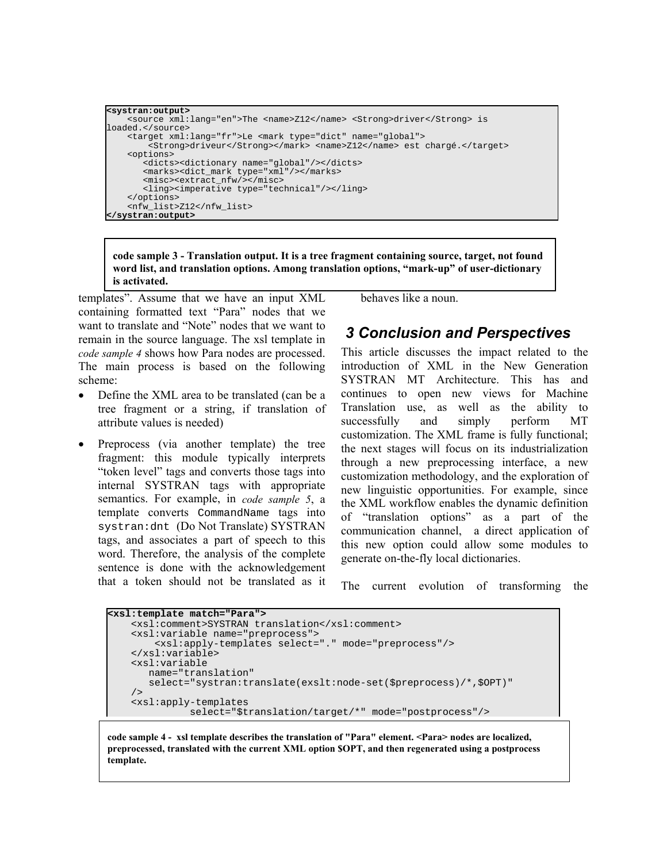```
<systran:output> 
     <source xml:lang="en">The <name>Z12</name> <Strong>driver</Strong> is 
loaded.</source> 
     <target xml:lang="fr">Le <mark type="dict" name="global"> 
        <Strong>driveur</Strong></mark> <name>Z12</name> est chargé.</target>
     <options> 
        <dicts><dictionary name="global"/></dicts> 
 <marks><dict_mark type="xml"/></marks> 
 <misc><extract_nfw/></misc> 
        <ling><imperative type="technical"/></ling> 
     </options> 
     <nfw_list>Z12</nfw_list> 
 </systran:output>
```
**code sample 3 - Translation output. It is a tree fragment containing source, target, not found word list, and translation options. Among translation options, "mark-up" of user-dictionary is activated.**

templates". Assume that we have an input XML containing formatted text "Para" nodes that we want to translate and "Note" nodes that we want to remain in the source language. The xsl template in *code sample 4* shows how Para nodes are processed. The main process is based on the following scheme:

- Define the XML area to be translated (can be a tree fragment or a string, if translation of attribute values is needed)
- Preprocess (via another template) the tree fragment: this module typically interprets "token level" tags and converts those tags into internal SYSTRAN tags with appropriate semantics. For example, in *code sample 5*, a template converts CommandName tags into systran:dnt (Do Not Translate) SYSTRAN tags, and associates a part of speech to this word. Therefore, the analysis of the complete sentence is done with the acknowledgement that a token should not be translated as it

behaves like a noun.

## *3 Conclusion and Perspectives*

This article discusses the impact related to the introduction of XML in the New Generation SYSTRAN MT Architecture. This has and continues to open new views for Machine Translation use, as well as the ability to successfully and simply perform MT customization. The XML frame is fully functional; the next stages will focus on its industrialization through a new preprocessing interface, a new customization methodology, and the exploration of new linguistic opportunities. For example, since the XML workflow enables the dynamic definition of "translation options" as a part of the communication channel, a direct application of this new option could allow some modules to generate on-the-fly local dictionaries.

The current evolution of transforming the

```
<xsl:template match="Para"> 
     <xsl:comment>SYSTRAN translation</xsl:comment> 
     <xsl:variable name="preprocess"> 
         <xsl:apply-templates select="." mode="preprocess"/> 
     </xsl:variable> 
     <xsl:variable 
        name="translation" 
        select="systran:translate(exslt:node-set($preprocess)/*,$OPT)" 
     /> 
     <xsl:apply-templates 
                select="$translation/target/*" mode="postprocess"/>
```
**code sample 4 - xsl template describes the translation of "Para" element. <Para> nodes are localized, preprocessed, translated with the current XML option \$OPT, and then regenerated using a postprocess template.**